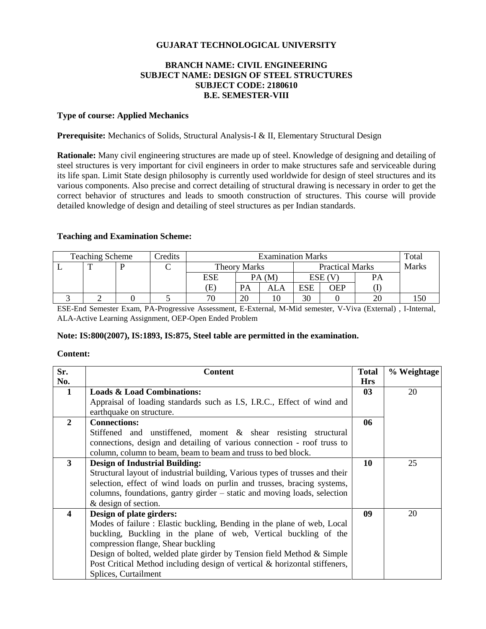# **GUJARAT TECHNOLOGICAL UNIVERSITY**

# **BRANCH NAME: CIVIL ENGINEERING SUBJECT NAME: DESIGN OF STEEL STRUCTURES SUBJECT CODE: 2180610 B.E. SEMESTER-VIII**

#### **Type of course: Applied Mechanics**

**Prerequisite:** Mechanics of Solids, Structural Analysis-I & II, Elementary Structural Design

**Rationale:** Many civil engineering structures are made up of steel. Knowledge of designing and detailing of steel structures is very important for civil engineers in order to make structures safe and serviceable during its life span. Limit State design philosophy is currently used worldwide for design of steel structures and its various components. Also precise and correct detailing of structural drawing is necessary in order to get the correct behavior of structures and leads to smooth construction of structures. This course will provide detailed knowledge of design and detailing of steel structures as per Indian standards.

#### **Teaching and Examination Scheme:**

| <b>Teaching Scheme</b> |  |  | Credits | <b>Examination Marks</b> |                                               |     |            | Total        |    |  |
|------------------------|--|--|---------|--------------------------|-----------------------------------------------|-----|------------|--------------|----|--|
|                        |  |  |         |                          | <b>Practical Marks</b><br><b>Theory Marks</b> |     |            | <b>Marks</b> |    |  |
|                        |  |  |         | ESE                      | PA(M)                                         |     | ESE (V     |              | PА |  |
|                        |  |  |         | Œ                        | PA                                            | ALA | <b>ESE</b> | OEP          |    |  |
|                        |  |  |         | 70                       | 20                                            |     | 30         |              | 20 |  |

ESE-End Semester Exam, PA-Progressive Assessment, E-External, M-Mid semester, V-Viva (External) , I-Internal, ALA-Active Learning Assignment, OEP-Open Ended Problem

## **Note: IS:800(2007), IS:1893, IS:875, Steel table are permitted in the examination.**

#### **Content:**

| Sr.            | <b>Content</b>                                                               | <b>Total</b> | % Weightage |
|----------------|------------------------------------------------------------------------------|--------------|-------------|
| No.            |                                                                              | <b>Hrs</b>   |             |
| 1              | <b>Loads &amp; Load Combinations:</b>                                        | 03           | 20          |
|                | Appraisal of loading standards such as I.S, I.R.C., Effect of wind and       |              |             |
|                | earthquake on structure.                                                     |              |             |
| $\overline{2}$ | <b>Connections:</b>                                                          | 06           |             |
|                | Stiffened and unstiffened, moment & shear resisting structural               |              |             |
|                | connections, design and detailing of various connection - roof truss to      |              |             |
|                | column, column to beam, beam to beam and truss to bed block.                 |              |             |
| $\mathbf{3}$   | <b>Design of Industrial Building:</b>                                        | 10           | 25          |
|                | Structural layout of industrial building, Various types of trusses and their |              |             |
|                | selection, effect of wind loads on purlin and trusses, bracing systems,      |              |             |
|                | columns, foundations, gantry girder – static and moving loads, selection     |              |             |
|                | & design of section.                                                         |              |             |
| 4              | Design of plate girders:                                                     | 09           | 20          |
|                | Modes of failure: Elastic buckling, Bending in the plane of web, Local       |              |             |
|                | buckling, Buckling in the plane of web, Vertical buckling of the             |              |             |
|                | compression flange, Shear buckling                                           |              |             |
|                | Design of bolted, welded plate girder by Tension field Method & Simple       |              |             |
|                | Post Critical Method including design of vertical & horizontal stiffeners,   |              |             |
|                | Splices, Curtailment                                                         |              |             |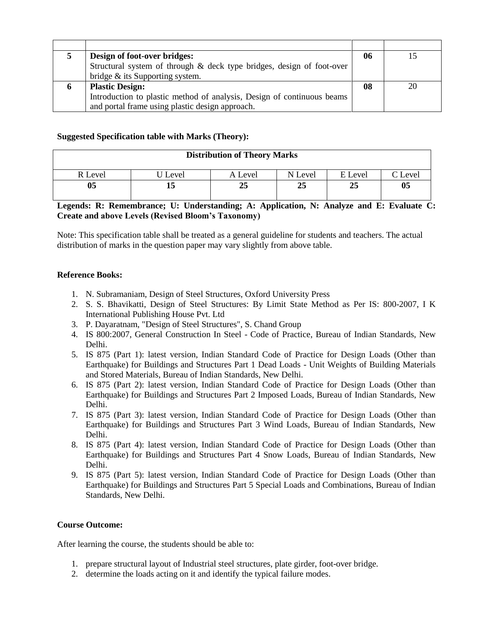| Design of foot-over bridges:                                           | 06 |  |
|------------------------------------------------------------------------|----|--|
| Structural system of through & deck type bridges, design of foot-over  |    |  |
| bridge & its Supporting system.                                        |    |  |
| <b>Plastic Design:</b>                                                 | 08 |  |
| Introduction to plastic method of analysis, Design of continuous beams |    |  |
| and portal frame using plastic design approach.                        |    |  |

## **Suggested Specification table with Marks (Theory):**

| <b>Distribution of Theory Marks</b> |       |         |         |         |         |  |  |
|-------------------------------------|-------|---------|---------|---------|---------|--|--|
| R Level                             | Level | A Level | N Level | E Level | C Level |  |  |
| 05                                  | 15    | 25      | 25      | 25      | 05      |  |  |

# **Legends: R: Remembrance; U: Understanding; A: Application, N: Analyze and E: Evaluate C: Create and above Levels (Revised Bloom's Taxonomy)**

Note: This specification table shall be treated as a general guideline for students and teachers. The actual distribution of marks in the question paper may vary slightly from above table.

#### **Reference Books:**

- 1. N. Subramaniam, Design of Steel Structures, Oxford University Press
- 2. [S. S. Bhavikatti,](http://www.amazon.in/s/ref=dp_byline_sr_book_1?ie=UTF8&field-author=S.+S.+Bhavikatti&search-alias=stripbooks) Design of Steel Structures: By Limit State Method as Per IS: 800-2007, I K International Publishing House Pvt. Ltd
- 3. P. Dayaratnam, "Design of Steel Structures", S. Chand Group
- 4. IS 800:2007, General Construction In Steel Code of Practice, Bureau of Indian Standards, New Delhi.
- 5. IS 875 (Part 1): latest version, Indian Standard Code of Practice for Design Loads (Other than Earthquake) for Buildings and Structures Part 1 Dead Loads - Unit Weights of Building Materials and Stored Materials, Bureau of Indian Standards, New Delhi.
- 6. IS 875 (Part 2): latest version, Indian Standard Code of Practice for Design Loads (Other than Earthquake) for Buildings and Structures Part 2 Imposed Loads, Bureau of Indian Standards, New Delhi.
- 7. IS 875 (Part 3): latest version, Indian Standard Code of Practice for Design Loads (Other than Earthquake) for Buildings and Structures Part 3 Wind Loads, Bureau of Indian Standards, New Delhi.
- 8. IS 875 (Part 4): latest version, Indian Standard Code of Practice for Design Loads (Other than Earthquake) for Buildings and Structures Part 4 Snow Loads, Bureau of Indian Standards, New Delhi.
- 9. IS 875 (Part 5): latest version, Indian Standard Code of Practice for Design Loads (Other than Earthquake) for Buildings and Structures Part 5 Special Loads and Combinations, Bureau of Indian Standards, New Delhi.

#### **Course Outcome:**

After learning the course, the students should be able to:

- 1. prepare structural layout of Industrial steel structures, plate girder, foot-over bridge.
- 2. determine the loads acting on it and identify the typical failure modes.